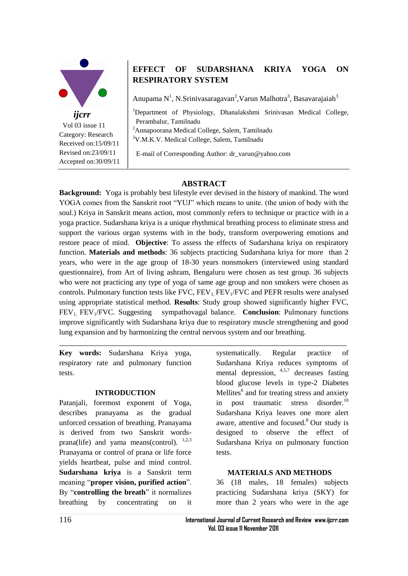

# **EFFECT OF SUDARSHANA KRIYA YOGA ON RESPIRATORY SYSTEM**

Anupama N<sup>1</sup>, N.Srinivasaragavan<sup>2</sup>, Varun Malhotra<sup>3</sup>, Basavarajaiah<sup>3</sup>

<sup>1</sup>Department of Physiology, Dhanalakshmi Srinivasan Medical College, Perambalur, Tamilnadu <sup>2</sup>Annapoorana Medical College, Salem, Tamilnadu

<sup>3</sup>V.M.K.V. Medical College, Salem, Tamilnadu

E-mail of Corresponding Author: dr\_varun@yahoo.com

# **ABSTRACT**

**Background:** Yoga is probably best lifestyle ever devised in the history of mankind. The word YOGA comes from the Sanskrit root "YUJ" which means to unite. (the union of body with the soul.) Kriya in Sanskrit means action, most commonly refers to technique or practice with in a yoga practice. Sudarshana kriya is a unique rhythmical breathing process to eliminate stress and support the various organ systems with in the body, transform overpowering emotions and restore peace of mind. **Objective**: To assess the effects of Sudarshana kriya on respiratory function. **Materials and methods**: 36 subjects practicing Sudarshana kriya for more than 2 years, who were in the age group of 18-30 years nonsmokers (interviewed using standard questionnaire), from Art of living ashram, Bengaluru were chosen as test group. 36 subjects who were not practicing any type of yoga of same age group and non smokers were chosen as controls. Pulmonary function tests like  $FVC$ ,  $FEV<sub>1</sub>$ ,  $FEV<sub>1</sub>/FVC$  and  $PEFR$  results were analysed using appropriate statistical method. **Results**: Study group showed significantly higher FVC, FEV1, FEV1/FVC. Suggesting sympathovagal balance. **Conclusion**: Pulmonary functions improve significantly with Sudarshana kriya due to respiratory muscle strengthening and good lung expansion and by harmonizing the central nervous system and our breathing.

\_\_\_\_\_\_\_\_\_\_\_\_\_\_\_\_\_\_\_\_\_\_\_\_\_\_\_\_\_\_\_\_\_\_\_\_\_\_\_\_\_\_\_\_\_\_\_\_\_\_\_\_\_\_\_\_\_\_\_\_\_\_\_\_\_\_\_\_\_\_

**Key words:** Sudarshana Kriya yoga, respiratory rate and pulmonary function tests.

### **INTRODUCTION**

Patanjali, foremost exponent of Yoga, describes pranayama as the gradual unforced cessation of breathing. Pranayama is derived from two Sanskrit wordsprana(life) and yama means(control).  $1,2,3$ Pranayama or control of prana or life force yields heartbeat, pulse and mind control. **Sudarshana kriya** is a Sanskrit term meaning "**proper vision, purified action**". By "**controlling the breath**" it normalizes breathing by concentrating on it systematically. Regular practice of Sudarshana Kriya reduces symptoms of mental depression,  $4,5,7$  decreases fasting blood glucose levels in type-2 Diabetes Mellites<sup>6</sup> and for treating stress and anxiety in post traumatic stress disorder.<sup>10</sup> Sudarshana Kriya leaves one more alert aware, attentive and focused.<sup>8</sup> Our study is designed to observe the effect of Sudarshana Kriya on pulmonary function tests.

### **MATERIALS AND METHODS**

36 (18 males, 18 females) subjects practicing Sudarshana kriya (SKY) for more than 2 years who were in the age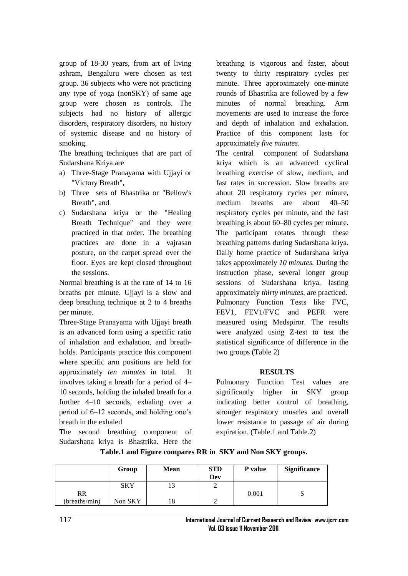group of 18-30 years, from art of living ashram, Bengaluru were chosen as test group. 36 subjects who were not practicing any type of yoga (nonSKY) of same age group were chosen as controls. The subjects had no history of allergic disorders, respiratory disorders, no history of systemic disease and no history of smoking.

The breathing techniques that are part of Sudarshana Kriya are

- a) Three-Stage Pranayama with Ujjayi or "Victory Breath",
- b) Three sets of Bhastrika or "Bellow's Breath", and
- c) Sudarshana kriya or the "Healing Breath Technique" and they were practiced in that order. The breathing practices are done in a vajrasan posture, on the carpet spread over the floor. Eyes are kept closed throughout the sessions.

Normal breathing is at the rate of 14 to 16 breaths per minute. Ujjayi is a slow and deep breathing technique at 2 to 4 breaths per minute.

Three-Stage Pranayama with Ujjayi breath is an advanced form using a specific ratio of inhalation and exhalation, and breathholds. Participants practice this component where specific arm positions are held for approximately *ten minutes* in total. It involves taking a breath for a period of 4– 10 seconds, holding the inhaled breath for a further 4–10 seconds, exhaling over a period of 6–12 seconds, and holding one's breath in the exhaled

The second breathing component of Sudarshana kriya is Bhastrika. Here the

breathing is vigorous and faster, about twenty to thirty respiratory cycles per minute. Three approximately one-minute rounds of Bhastrika are followed by a few minutes of normal breathing. Arm movements are used to increase the force and depth of inhalation and exhalation. Practice of this component lasts for approximately *five minutes*.

The central component of Sudarshana kriya which is an advanced cyclical breathing exercise of slow, medium, and fast rates in succession. Slow breaths are about 20 respiratory cycles per minute, medium breaths are about 40–50 respiratory cycles per minute, and the fast breathing is about 60–80 cycles per minute. The participant rotates through these breathing patterns during Sudarshana kriya. Daily home practice of Sudarshana kriya takes approximately *10 minutes.* During the instruction phase, several longer group sessions of Sudarshana kriya, lasting approximately *thirty minutes,* are practiced. Pulmonary Function Tests like FVC, FEV1, FEV1/FVC and PEFR were measured using Medspiror. The results were analyzed using Z-test to test the statistical significance of difference in the two groups (Table 2)

# **RESULTS**

Pulmonary Function Test values are significantly higher in SKY group indicating better control of breathing, stronger respiratory muscles and overall lower resistance to passage of air during expiration. (Table.1 and Table.2)

|               | Group   | <b>Mean</b> | <b>STD</b><br>Dev | P value | <b>Significance</b> |
|---------------|---------|-------------|-------------------|---------|---------------------|
|               | SKY     |             |                   |         |                     |
| <b>RR</b>     |         |             |                   | 0.001   |                     |
| (breaths/min) | Non SKY |             |                   |         |                     |

**Table.1 and Figure compares RR in SKY and Non SKY groups.**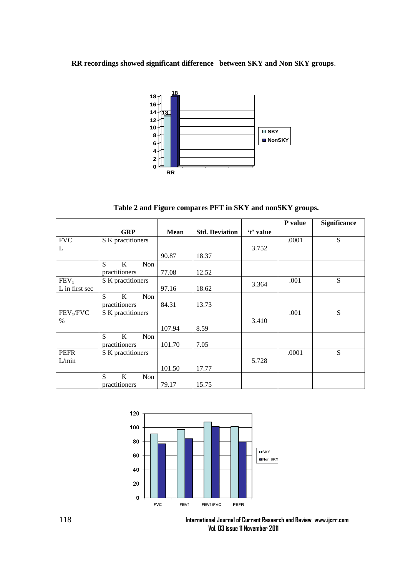**RR recordings showed significant difference between SKY and Non SKY groups**.



**Table 2 and Figure compares PFT in SKY and nonSKY groups.**

|                       |                   |             |                       |           | P value | Significance |
|-----------------------|-------------------|-------------|-----------------------|-----------|---------|--------------|
|                       | <b>GRP</b>        | <b>Mean</b> | <b>Std. Deviation</b> | 't' value |         |              |
| <b>FVC</b>            | S K practitioners |             |                       |           | .0001   | S            |
| L                     |                   |             |                       | 3.752     |         |              |
|                       |                   | 90.87       | 18.37                 |           |         |              |
|                       | S<br>K<br>Non     |             |                       |           |         |              |
|                       | practitioners     | 77.08       | 12.52                 |           |         |              |
| FEV <sub>1</sub>      | S K practitioners |             |                       |           | .001    | S            |
| L in first sec        |                   | 97.16       | 18.62                 | 3.364     |         |              |
|                       | S<br>K<br>Non     |             |                       |           |         |              |
|                       | practitioners     | 84.31       | 13.73                 |           |         |              |
| FEV <sub>1</sub> /FVC | S K practitioners |             |                       |           | .001    | S            |
| $\%$                  |                   |             |                       | 3.410     |         |              |
|                       |                   | 107.94      | 8.59                  |           |         |              |
|                       | S<br>K<br>Non     |             |                       |           |         |              |
|                       | practitioners     | 101.70      | 7.05                  |           |         |              |
| <b>PEFR</b>           | S K practitioners |             |                       |           | .0001   | S            |
| L/min                 |                   |             |                       | 5.728     |         |              |
|                       |                   | 101.50      | 17.77                 |           |         |              |
|                       | K<br>S<br>Non     |             |                       |           |         |              |
|                       | practitioners     | 79.17       | 15.75                 |           |         |              |



118 **International Journal of Current Research and Review www.ijcrr.com Vol. 03 issue 11 November 2011**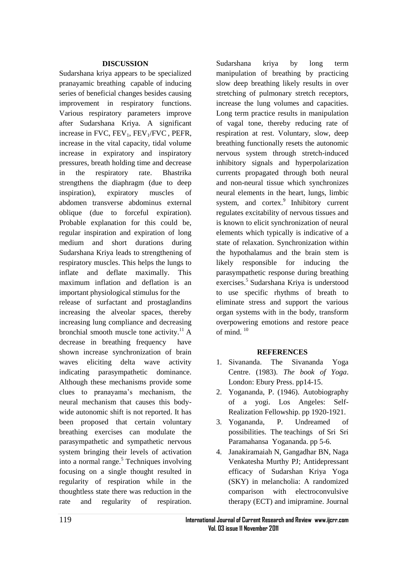# **DISCUSSION**

Sudarshana kriya appears to be specialized pranayamic breathing capable of inducing series of beneficial changes besides causing improvement in respiratory functions. Various respiratory parameters improve after Sudarshana Kriya. A significant increase in FVC,  $FEV<sub>1</sub>$ ,  $FEV<sub>1</sub>/FVC$ ,  $PEFR$ , increase in the vital capacity, tidal volume increase in expiratory and inspiratory pressures, breath holding time and decrease in the respiratory rate. Bhastrika strengthens the diaphragm (due to deep inspiration), expiratory muscles of abdomen transverse abdominus external oblique (due to forceful expiration). Probable explanation for this could be, regular inspiration and expiration of long medium and short durations during Sudarshana Kriya leads to strengthening of respiratory muscles. This helps the lungs to inflate and deflate maximally. This maximum inflation and deflation is an important physiological stimulus for the release of surfactant and prostaglandins increasing the alveolar spaces, thereby increasing lung compliance and decreasing bronchial smooth muscle tone activity.<sup>11</sup> A decrease in breathing frequency have shown increase synchronization of brain waves eliciting delta wave activity indicating parasympathetic dominance. Although these mechanisms provide some clues to pranayama's mechanism, the neural mechanism that causes this bodywide autonomic shift is not reported. It has been proposed that certain voluntary breathing exercises can modulate the parasympathetic and sympathetic nervous system bringing their levels of activation into a normal range.<sup>5</sup> Techniques involving focusing on a single thought resulted in regularity of respiration while in the thoughtless state there was reduction in the rate and regularity of respiration.

Sudarshana kriya by long term manipulation of breathing by practicing slow deep breathing likely results in over stretching of pulmonary stretch receptors, increase the lung volumes and capacities. Long term practice results in manipulation of vagal tone, thereby reducing rate of respiration at rest. Voluntary, slow, deep breathing functionally resets the autonomic nervous system through stretch-induced inhibitory signals and hyperpolarization currents propagated through both neural and non-neural tissue which synchronizes neural elements in the heart, lungs, limbic system, and cortex. $9$  Inhibitory current regulates excitability of nervous tissues and is known to elicit synchronization of neural elements which typically is indicative of a state of relaxation. Synchronization within the hypothalamus and the brain stem is likely responsible for inducing the parasympathetic response during breathing exercises.<sup>5</sup> Sudarshana Kriya is understood to use specific rhythms of breath to eliminate stress and support the various organ systems with in the body, transform overpowering emotions and restore peace of mind.  $10$ 

# **REFERENCES**

- 1. Sivananda. The Sivananda Yoga Centre. (1983). *The book of Yoga*. London: Ebury Press. pp14-15.
- 2. Yogananda, P. (1946). Autobiography of a yogi. Los Angeles: Self-Realization Fellowship. pp 1920-1921.
- 3. Yogananda, P. Undreamed of possibilities. The teachings of Sri Sri Paramahansa Yogananda. pp 5-6.
- 4. Janakiramaiah N, Gangadhar BN, Naga Venkatesha Murthy PJ; Antidepressant efficacy of Sudarshan Kriya Yoga (SKY) in melancholia: A randomized comparison with electroconvulsive therapy (ECT) and imipramine. Journal